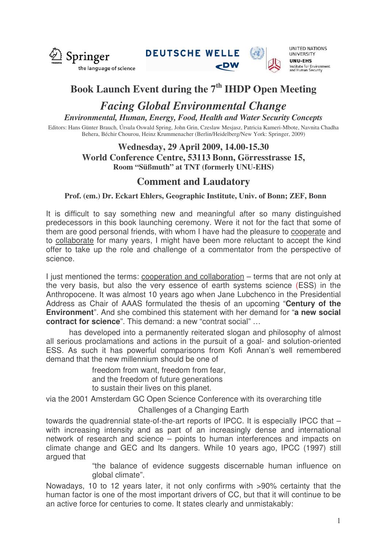

**DEUTSCHE WELLE** 



**UNITED NATIONS UNIVERSITY UNU-EHS** Institute for Environment<br>and Human Security

# **Book Launch Event during the 7 th IHDP Open Meeting**

## *Facing Global Environmental Change Environmental, Human, Energy, Food, Health and Water Security Concepts*

Editors: Hans Günter Brauch, Úrsula Oswald Spring, John Grin, Czeslaw Mesjasz, Patricia Kameri-Mbote, Navnita Chadha Behera, Béchir Chourou, Heinz Krummenacher (Berlin/Heidelberg/New York: Springer, 2009)

## **Wednesday, 29 April 2009, 14.00-15.30 World Conference Centre, 53113 Bonn, Görresstrasse 15, Room "Süßmuth" at TNT (formerly UNU-EHS)**

# **Comment and Laudatory**

**Prof. (em.) Dr. Eckart Ehlers, Geographic Institute, Univ. of Bonn; ZEF, Bonn**

It is difficult to say something new and meaningful after so many distinguished predecessors in this book launching ceremony. Were it not for the fact that some of them are good personal friends, with whom I have had the pleasure to cooperate and to collaborate for many years, I might have been more reluctant to accept the kind offer to take up the role and challenge of a commentator from the perspective of science.

I just mentioned the terms: cooperation and collaboration – terms that are not only at the very basis, but also the very essence of earth systems science (ESS) in the Anthropocene. It was almost 10 years ago when Jane Lubchenco in the Presidential Address as Chair of AAAS formulated the thesis of an upcoming "**Century of the Environment**". And she combined this statement with her demand for "**a new social contract for science**". This demand: a new "contrat social" …

has developed into a permanently reiterated slogan and philosophy of almost all serious proclamations and actions in the pursuit of a goal- and solution-oriented ESS. As such it has powerful comparisons from Kofi Annan's well remembered demand that the new millennium should be one of

> freedom from want, freedom from fear, and the freedom of future generations to sustain their lives on this planet.

via the 2001 Amsterdam GC Open Science Conference with its overarching title

Challenges of a Changing Earth

towards the quadrennial state-of-the-art reports of IPCC. It is especially IPCC that – with increasing intensity and as part of an increasingly dense and international network of research and science – points to human interferences and impacts on climate change and GEC and Its dangers. While 10 years ago, IPCC (1997) still argued that

> "the balance of evidence suggests discernable human influence on global climate".

Nowadays, 10 to 12 years later, it not only confirms with >90% certainty that the human factor is one of the most important drivers of CC, but that it will continue to be an active force for centuries to come. It states clearly and unmistakably: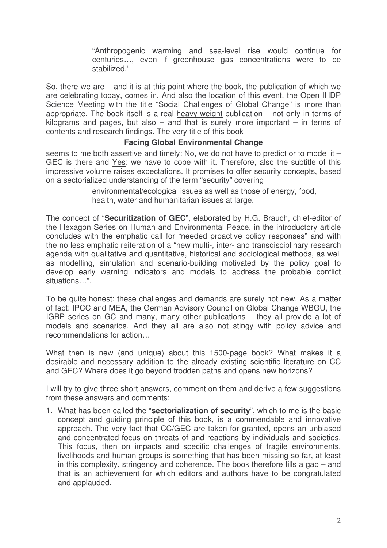"Anthropogenic warming and sea-level rise would continue for centuries…, even if greenhouse gas concentrations were to be stabilized."

So, there we are – and it is at this point where the book, the publication of which we are celebrating today, comes in. And also the location of this event, the Open IHDP Science Meeting with the title "Social Challenges of Global Change" is more than appropriate. The book itself is a real heavy-weight publication – not only in terms of kilograms and pages, but also  $-$  and that is surely more important  $-$  in terms of contents and research findings. The very title of this book

#### **Facing Global Environmental Change**

seems to me both assertive and timely: No, we do not have to predict or to model it – GEC is there and Yes: we have to cope with it. Therefore, also the subtitle of this impressive volume raises expectations. It promises to offer security concepts, based on a sectorialized understanding of the term "security" covering

> environmental/ecological issues as well as those of energy, food, health, water and humanitarian issues at large.

The concept of "**Securitization of GEC**", elaborated by H.G. Brauch, chief-editor of the Hexagon Series on Human and Environmental Peace, in the introductory article concludes with the emphatic call for "needed proactive policy responses" and with the no less emphatic reiteration of a "new multi-, inter- and transdisciplinary research agenda with qualitative and quantitative, historical and sociological methods, as well as modelling, simulation and scenario-building motivated by the policy goal to develop early warning indicators and models to address the probable conflict situations…".

To be quite honest: these challenges and demands are surely not new. As a matter of fact: IPCC and MEA, the German Advisory Council on Global Change WBGU, the IGBP series on GC and many, many other publications – they all provide a lot of models and scenarios. And they all are also not stingy with policy advice and recommendations for action…

What then is new (and unique) about this 1500-page book? What makes it a desirable and necessary addition to the already existing scientific literature on CC and GEC? Where does it go beyond trodden paths and opens new horizons?

I will try to give three short answers, comment on them and derive a few suggestions from these answers and comments:

1. What has been called the "**sectorialization of security**", which to me is the basic concept and guiding principle of this book, is a commendable and innovative approach. The very fact that CC/GEC are taken for granted, opens an unbiased and concentrated focus on threats of and reactions by individuals and societies. This focus, then on impacts and specific challenges of fragile environments, livelihoods and human groups is something that has been missing so far, at least in this complexity, stringency and coherence. The book therefore fills a gap – and that is an achievement for which editors and authors have to be congratulated and applauded.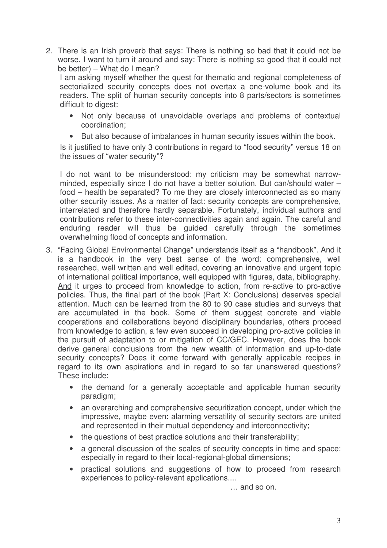2. There is an Irish proverb that says: There is nothing so bad that it could not be worse. I want to turn it around and say: There is nothing so good that it could not be better) – What do I mean?

I am asking myself whether the quest for thematic and regional completeness of sectorialized security concepts does not overtax a one-volume book and its readers. The split of human security concepts into 8 parts/sectors is sometimes difficult to digest:

- Not only because of unavoidable overlaps and problems of contextual coordination;
- But also because of imbalances in human security issues within the book.

Is it justified to have only 3 contributions in regard to "food security" versus 18 on the issues of "water security"?

I do not want to be misunderstood: my criticism may be somewhat narrowminded, especially since I do not have a better solution. But can/should water – food – health be separated? To me they are closely interconnected as so many other security issues. As a matter of fact: security concepts are comprehensive, interrelated and therefore hardly separable. Fortunately, individual authors and contributions refer to these inter-connectivities again and again. The careful and enduring reader will thus be guided carefully through the sometimes overwhelming flood of concepts and information.

- 3. "Facing Global Environmental Change" understands itself as a "handbook". And it is a handbook in the very best sense of the word: comprehensive, well researched, well written and well edited, covering an innovative and urgent topic of international political importance, well equipped with figures, data, bibliography. And it urges to proceed from knowledge to action, from re-active to pro-active policies. Thus, the final part of the book (Part X: Conclusions) deserves special attention. Much can be learned from the 80 to 90 case studies and surveys that are accumulated in the book. Some of them suggest concrete and viable cooperations and collaborations beyond disciplinary boundaries, others proceed from knowledge to action, a few even succeed in developing pro-active policies in the pursuit of adaptation to or mitigation of CC/GEC. However, does the book derive general conclusions from the new wealth of information and up-to-date security concepts? Does it come forward with generally applicable recipes in regard to its own aspirations and in regard to so far unanswered questions? These include:
	- the demand for a generally acceptable and applicable human security paradigm;
	- an overarching and comprehensive securitization concept, under which the impressive, maybe even: alarming versatility of security sectors are united and represented in their mutual dependency and interconnectivity;
	- the questions of best practice solutions and their transferability;
	- a general discussion of the scales of security concepts in time and space; especially in regard to their local-regional-global dimensions;
	- practical solutions and suggestions of how to proceed from research experiences to policy-relevant applications....

… and so on.